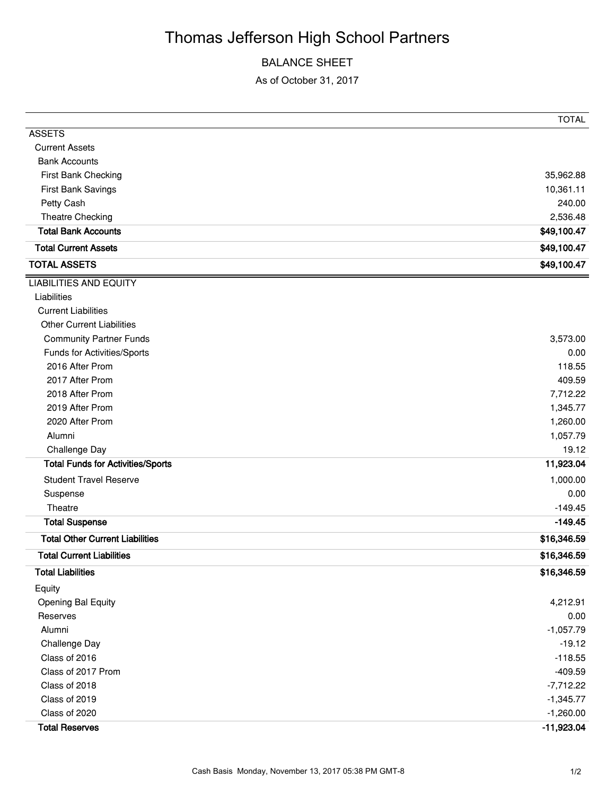# Thomas Jefferson High School Partners

### BALANCE SHEET

As of October 31, 2017

|                                          | <b>TOTAL</b> |
|------------------------------------------|--------------|
| <b>ASSETS</b>                            |              |
| <b>Current Assets</b>                    |              |
| <b>Bank Accounts</b>                     |              |
| First Bank Checking                      | 35,962.88    |
| First Bank Savings                       | 10,361.11    |
| Petty Cash                               | 240.00       |
| Theatre Checking                         | 2,536.48     |
| <b>Total Bank Accounts</b>               | \$49,100.47  |
| <b>Total Current Assets</b>              | \$49,100.47  |
| <b>TOTAL ASSETS</b>                      | \$49,100.47  |
| <b>LIABILITIES AND EQUITY</b>            |              |
| Liabilities                              |              |
| <b>Current Liabilities</b>               |              |
| <b>Other Current Liabilities</b>         |              |
| <b>Community Partner Funds</b>           | 3,573.00     |
| Funds for Activities/Sports              | 0.00         |
| 2016 After Prom                          | 118.55       |
| 2017 After Prom                          | 409.59       |
| 2018 After Prom                          | 7,712.22     |
| 2019 After Prom                          | 1,345.77     |
| 2020 After Prom                          | 1,260.00     |
| Alumni                                   | 1,057.79     |
| Challenge Day                            | 19.12        |
| <b>Total Funds for Activities/Sports</b> | 11,923.04    |
| <b>Student Travel Reserve</b>            | 1,000.00     |
| Suspense                                 | 0.00         |
| Theatre                                  | $-149.45$    |
| <b>Total Suspense</b>                    | $-149.45$    |
| <b>Total Other Current Liabilities</b>   | \$16,346.59  |
| <b>Total Current Liabilities</b>         | \$16,346.59  |
| <b>Total Liabilities</b>                 | \$16,346.59  |
| Equity                                   |              |
| <b>Opening Bal Equity</b>                | 4,212.91     |
| Reserves                                 | 0.00         |
| Alumni                                   | $-1,057.79$  |
| Challenge Day                            | $-19.12$     |
| Class of 2016                            | $-118.55$    |
| Class of 2017 Prom                       | $-409.59$    |
| Class of 2018                            | $-7,712.22$  |
| Class of 2019                            | $-1,345.77$  |
| Class of 2020                            | $-1,260.00$  |
| <b>Total Reserves</b>                    | $-11,923.04$ |
|                                          |              |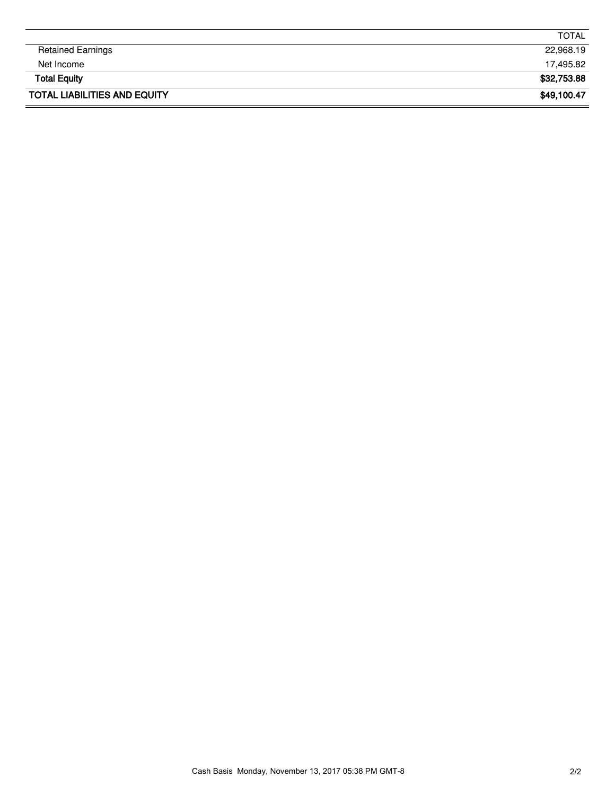|                                     | <b>TOTAL</b> |
|-------------------------------------|--------------|
| <b>Retained Earnings</b>            | 22,968.19    |
| Net Income                          | 17,495.82    |
| <b>Total Equity</b>                 | \$32,753.88  |
| <b>TOTAL LIABILITIES AND EQUITY</b> | \$49,100.47  |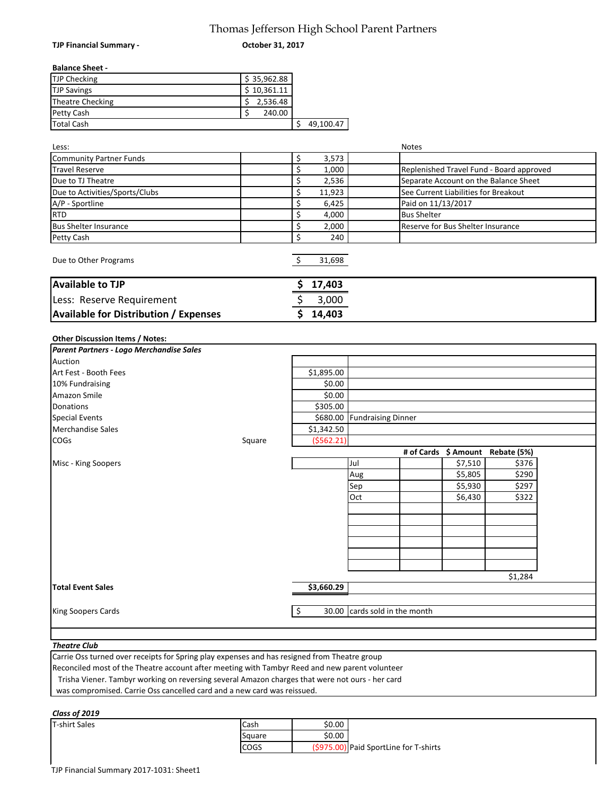## Thomas Jefferson High School Parent Partners **October 31, 2017**

**TJP Financial Summary -** 

#### **Balance Sheet -**

| <b>TJP Checking</b> | \$35,962.88 |           |
|---------------------|-------------|-----------|
| <b>TJP Savings</b>  | \$10,361.11 |           |
| Theatre Checking    | 2,536.48    |           |
| <b>Petty Cash</b>   | 240.00      |           |
| <b>Total Cash</b>   |             | 49,100.47 |

**Available for Distribution / Expenses \$ 14,403**

| Less:                          |            | <b>Notes</b>                             |
|--------------------------------|------------|------------------------------------------|
| Community Partner Funds        | 3,573      |                                          |
| <b>Travel Reserve</b>          | 1,000<br>S | Replenished Travel Fund - Board approved |
| Due to TJ Theatre              | 2,536      | Separate Account on the Balance Sheet    |
| Due to Activities/Sports/Clubs | 11,923     | See Current Liabilities for Breakout     |
| A/P - Sportline                | 6,425      | Paid on 11/13/2017                       |
| <b>RTD</b>                     | 4,000      | <b>Bus Shelter</b>                       |
| <b>Bus Shelter Insurance</b>   | 2,000      | <b>Reserve for Bus Shelter Insurance</b> |
| Petty Cash                     | 240        |                                          |
| Due to Other Programs          | 31,698     |                                          |
| <b>Available to TJP</b>        | 17,403     |                                          |
| Less: Reserve Requirement      | 3,000      |                                          |

#### **Other Discussion Items / Notes:**

| Parent Partners - Logo Merchandise Sales |        |            |                               |         |                                  |  |
|------------------------------------------|--------|------------|-------------------------------|---------|----------------------------------|--|
| Auction                                  |        |            |                               |         |                                  |  |
| Art Fest - Booth Fees                    |        | \$1,895.00 |                               |         |                                  |  |
| 10% Fundraising                          |        | \$0.00     |                               |         |                                  |  |
| Amazon Smile                             |        | \$0.00     |                               |         |                                  |  |
| Donations                                |        | \$305.00   |                               |         |                                  |  |
| <b>Special Events</b>                    |        |            | \$680.00 Fundraising Dinner   |         |                                  |  |
| <b>Merchandise Sales</b>                 |        | \$1,342.50 |                               |         |                                  |  |
| <b>COGs</b>                              | Square | (5562.21)  |                               |         |                                  |  |
|                                          |        |            |                               |         | # of Cards \$ Amount Rebate (5%) |  |
| Misc - King Soopers                      |        |            | Jul                           | \$7,510 | \$376                            |  |
|                                          |        |            | Aug                           | \$5,805 | \$290                            |  |
|                                          |        |            | Sep                           | \$5,930 | \$297                            |  |
|                                          |        |            | Oct                           | \$6,430 | \$322                            |  |
|                                          |        |            |                               |         |                                  |  |
|                                          |        |            |                               |         |                                  |  |
|                                          |        |            |                               |         |                                  |  |
|                                          |        |            |                               |         |                                  |  |
|                                          |        |            |                               |         |                                  |  |
|                                          |        |            |                               |         |                                  |  |
|                                          |        |            |                               |         | \$1,284                          |  |
| <b>Total Event Sales</b>                 |        | \$3,660.29 |                               |         |                                  |  |
|                                          |        |            |                               |         |                                  |  |
| King Soopers Cards                       |        | \$         | 30.00 cards sold in the month |         |                                  |  |
|                                          |        |            |                               |         |                                  |  |
|                                          |        |            |                               |         |                                  |  |

### *Theatre Club*

Carrie Oss turned over receipts for Spring play expenses and has resigned from Theatre group Reconciled most of the Theatre account after meeting with Tambyr Reed and new parent volunteer

Trisha Viener. Tambyr working on reversing several Amazon charges that were not ours - her card

was compromised. Carrie Oss cancelled card and a new card was reissued.

#### T-shirt Sales *Class of 2019*

| Cash   | \$0.00                                 |  |
|--------|----------------------------------------|--|
| Square | \$0.00                                 |  |
| COGS   | (\$975.00) Paid SportLine for T-shirts |  |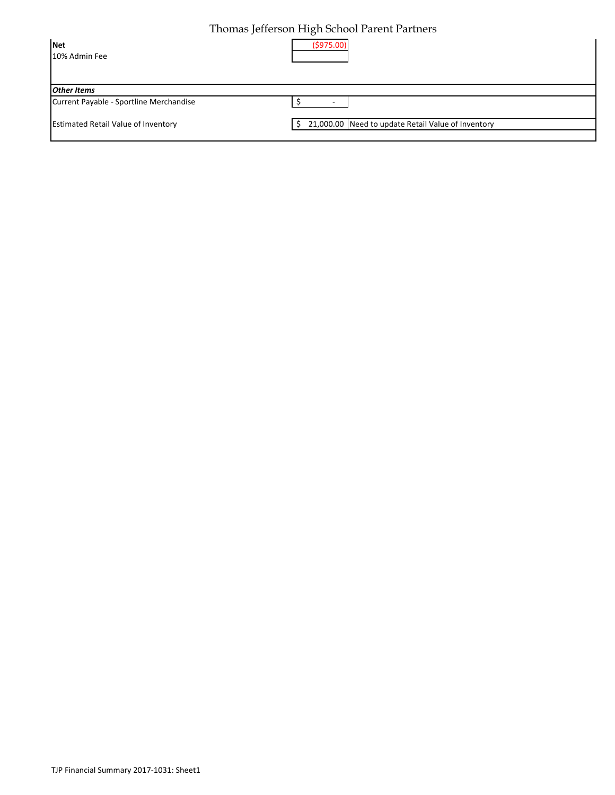# Thomas Jefferson High School Parent Partners

| Net<br>10% Admin Fee                       | (5975.00)                                                     |
|--------------------------------------------|---------------------------------------------------------------|
| <b>Other Items</b>                         |                                                               |
| Current Payable - Sportline Merchandise    |                                                               |
| <b>Estimated Retail Value of Inventory</b> | 21,000.00 Need to update Retail Value of Inventory<br>$\zeta$ |
|                                            |                                                               |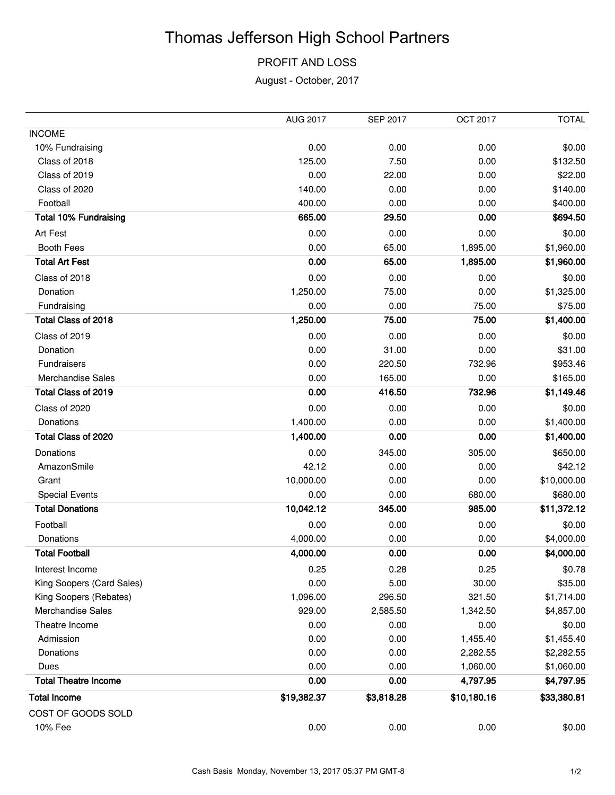# Thomas Jefferson High School Partners

### PROFIT AND LOSS

August - October, 2017

|                              | <b>AUG 2017</b> | <b>SEP 2017</b> | OCT 2017    | <b>TOTAL</b> |
|------------------------------|-----------------|-----------------|-------------|--------------|
| <b>INCOME</b>                |                 |                 |             |              |
| 10% Fundraising              | 0.00            | 0.00            | 0.00        | \$0.00       |
| Class of 2018                | 125.00          | 7.50            | 0.00        | \$132.50     |
| Class of 2019                | 0.00            | 22.00           | 0.00        | \$22.00      |
| Class of 2020                | 140.00          | 0.00            | 0.00        | \$140.00     |
| Football                     | 400.00          | 0.00            | 0.00        | \$400.00     |
| <b>Total 10% Fundraising</b> | 665.00          | 29.50           | 0.00        | \$694.50     |
| Art Fest                     | 0.00            | 0.00            | 0.00        | \$0.00       |
| <b>Booth Fees</b>            | 0.00            | 65.00           | 1,895.00    | \$1,960.00   |
| <b>Total Art Fest</b>        | 0.00            | 65.00           | 1,895.00    | \$1,960.00   |
| Class of 2018                | 0.00            | 0.00            | 0.00        | \$0.00       |
| Donation                     | 1,250.00        | 75.00           | 0.00        | \$1,325.00   |
| Fundraising                  | 0.00            | 0.00            | 75.00       | \$75.00      |
| <b>Total Class of 2018</b>   | 1,250.00        | 75.00           | 75.00       | \$1,400.00   |
| Class of 2019                | 0.00            | 0.00            | 0.00        | \$0.00       |
| Donation                     | 0.00            | 31.00           | 0.00        | \$31.00      |
| Fundraisers                  | 0.00            | 220.50          | 732.96      | \$953.46     |
| <b>Merchandise Sales</b>     | 0.00            | 165.00          | 0.00        | \$165.00     |
| Total Class of 2019          | 0.00            | 416.50          | 732.96      | \$1,149.46   |
| Class of 2020                | 0.00            | 0.00            | 0.00        | \$0.00       |
| Donations                    | 1,400.00        | 0.00            | 0.00        | \$1,400.00   |
| Total Class of 2020          | 1,400.00        | 0.00            | 0.00        | \$1,400.00   |
| Donations                    | 0.00            | 345.00          | 305.00      | \$650.00     |
| AmazonSmile                  | 42.12           | 0.00            | 0.00        | \$42.12      |
| Grant                        | 10,000.00       | 0.00            | 0.00        | \$10,000.00  |
| <b>Special Events</b>        | 0.00            | 0.00            | 680.00      | \$680.00     |
| <b>Total Donations</b>       | 10,042.12       | 345.00          | 985.00      | \$11,372.12  |
| Football                     | 0.00            | 0.00            | 0.00        | \$0.00       |
| Donations                    | 4,000.00        | 0.00            | 0.00        | \$4,000.00   |
| <b>Total Football</b>        | 4,000.00        | 0.00            | 0.00        | \$4,000.00   |
| Interest Income              | 0.25            | 0.28            | 0.25        | \$0.78       |
| King Soopers (Card Sales)    | 0.00            | 5.00            | 30.00       | \$35.00      |
| King Soopers (Rebates)       | 1,096.00        | 296.50          | 321.50      | \$1,714.00   |
| <b>Merchandise Sales</b>     | 929.00          | 2,585.50        | 1,342.50    | \$4,857.00   |
| Theatre Income               | 0.00            | 0.00            | 0.00        | \$0.00       |
| Admission                    | 0.00            | 0.00            | 1,455.40    | \$1,455.40   |
| Donations                    | 0.00            | 0.00            | 2,282.55    | \$2,282.55   |
| Dues                         | 0.00            | 0.00            | 1,060.00    | \$1,060.00   |
| <b>Total Theatre Income</b>  | 0.00            | 0.00            | 4,797.95    | \$4,797.95   |
| <b>Total Income</b>          | \$19,382.37     | \$3,818.28      | \$10,180.16 | \$33,380.81  |
| COST OF GOODS SOLD           |                 |                 |             |              |
| 10% Fee                      | 0.00            | 0.00            | 0.00        | \$0.00       |